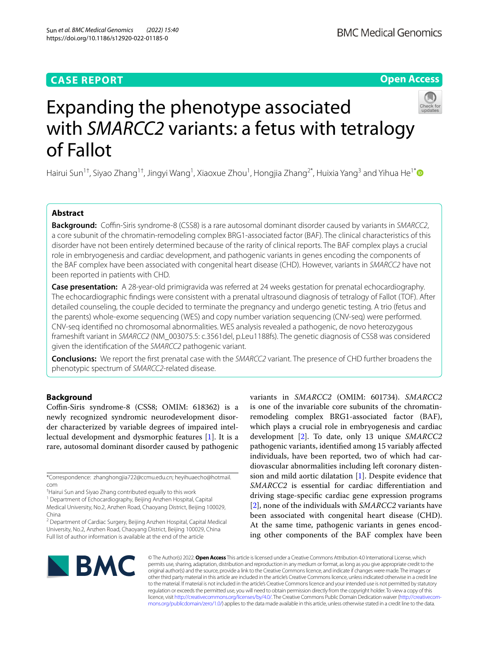# **CASE REPORT**

# **Open Access**



# Expanding the phenotype associated with *SMARCC2* variants: a fetus with tetralogy of Fallot

Hairui Sun<sup>1†</sup>, Siyao Zhang<sup>1†</sup>, Jingyi Wang<sup>1</sup>, Xiaoxue Zhou<sup>1</sup>, Hongjia Zhang<sup>2[\\*](http://orcid.org/0000-0002-4985-2365)</sup>, Huixia Yang<sup>3</sup> and Yihua He<sup>1\*</sup>

# **Abstract**

**Background:** Coffin-Siris syndrome-8 (CSS8) is a rare autosomal dominant disorder caused by variants in *SMARCC2*, a core subunit of the chromatin-remodeling complex BRG1-associated factor (BAF). The clinical characteristics of this disorder have not been entirely determined because of the rarity of clinical reports. The BAF complex plays a crucial role in embryogenesis and cardiac development, and pathogenic variants in genes encoding the components of the BAF complex have been associated with congenital heart disease (CHD). However, variants in *SMARCC2* have not been reported in patients with CHD.

**Case presentation:** A 28-year-old primigravida was referred at 24 weeks gestation for prenatal echocardiography. The echocardiographic fndings were consistent with a prenatal ultrasound diagnosis of tetralogy of Fallot (TOF). After detailed counseling, the couple decided to terminate the pregnancy and undergo genetic testing. A trio (fetus and the parents) whole-exome sequencing (WES) and copy number variation sequencing (CNV-seq) were performed. CNV-seq identifed no chromosomal abnormalities. WES analysis revealed a pathogenic, de novo heterozygous frameshift variant in *SMARCC2* (NM\_003075.5: c.3561del, p.Leu1188fs). The genetic diagnosis of CSS8 was considered given the identifcation of the *SMARCC2* pathogenic variant.

**Conclusions:** We report the frst prenatal case with the *SMARCC2* variant. The presence of CHD further broadens the phenotypic spectrum of *SMARCC2*-related disease.

# **Background**

Coffin-Siris syndrome-8 (CSS8; OMIM: 618362) is a newly recognized syndromic neurodevelopment disorder characterized by variable degrees of impaired intellectual development and dysmorphic features [[1\]](#page-3-0). It is a rare, autosomal dominant disorder caused by pathogenic

\*Correspondence: zhanghongjia722@ccmu.edu.cn; heyihuaecho@hotmail. com

† Hairui Sun and Siyao Zhang contributed equally to this work

<sup>1</sup> Department of Echocardiography, Beijing Anzhen Hospital, Capital Medical University, No.2, Anzhen Road, Chaoyang District, Beijing 100029, China

<sup>2</sup> Department of Cardiac Surgery, Beijing Anzhen Hospital, Capital Medical University, No.2, Anzhen Road, Chaoyang District, Beijing 100029, China Full list of author information is available at the end of the article

variants in *SMARCC2* (OMIM: 601734). *SMARCC2* is one of the invariable core subunits of the chromatinremodeling complex BRG1-associated factor (BAF), which plays a crucial role in embryogenesis and cardiac development [\[2](#page-3-1)]. To date, only 13 unique *SMARCC2* pathogenic variants, identifed among 15 variably afected individuals, have been reported, two of which had cardiovascular abnormalities including left coronary distension and mild aortic dilatation [\[1](#page-3-0)]. Despite evidence that *SMARCC2* is essential for cardiac diferentiation and driving stage-specifc cardiac gene expression programs [[2\]](#page-3-1), none of the individuals with *SMARCC2* variants have been associated with congenital heart disease (CHD). At the same time, pathogenic variants in genes encoding other components of the BAF complex have been



© The Author(s) 2022. **Open Access** This article is licensed under a Creative Commons Attribution 4.0 International License, which permits use, sharing, adaptation, distribution and reproduction in any medium or format, as long as you give appropriate credit to the original author(s) and the source, provide a link to the Creative Commons licence, and indicate if changes were made. The images or other third party material in this article are included in the article's Creative Commons licence, unless indicated otherwise in a credit line to the material. If material is not included in the article's Creative Commons licence and your intended use is not permitted by statutory regulation or exceeds the permitted use, you will need to obtain permission directly from the copyright holder. To view a copy of this licence, visit [http://creativecommons.org/licenses/by/4.0/.](http://creativecommons.org/licenses/by/4.0/) The Creative Commons Public Domain Dedication waiver ([http://creativecom](http://creativecommons.org/publicdomain/zero/1.0/)[mons.org/publicdomain/zero/1.0/\)](http://creativecommons.org/publicdomain/zero/1.0/) applies to the data made available in this article, unless otherwise stated in a credit line to the data.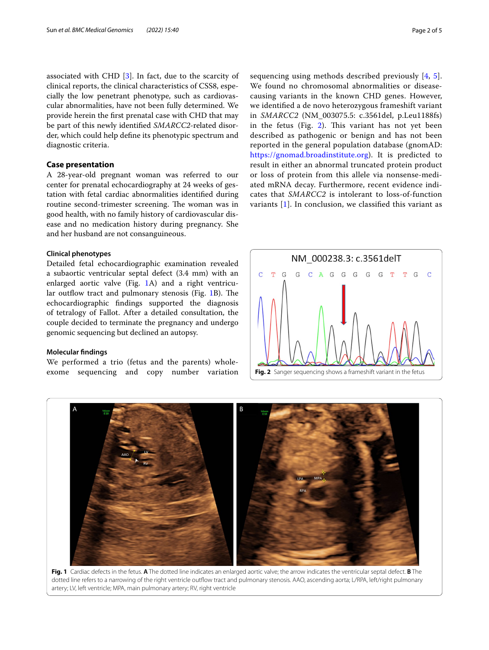associated with CHD  $[3]$  $[3]$ . In fact, due to the scarcity of clinical reports, the clinical characteristics of CSS8, especially the low penetrant phenotype, such as cardiovascular abnormalities, have not been fully determined. We provide herein the frst prenatal case with CHD that may be part of this newly identifed *SMARCC2*-related disorder, which could help defne its phenotypic spectrum and diagnostic criteria.

# **Case presentation**

A 28-year-old pregnant woman was referred to our center for prenatal echocardiography at 24 weeks of gestation with fetal cardiac abnormalities identifed during routine second-trimester screening. The woman was in good health, with no family history of cardiovascular disease and no medication history during pregnancy. She and her husband are not consanguineous.

## **Clinical phenotypes**

Detailed fetal echocardiographic examination revealed a subaortic ventricular septal defect (3.4 mm) with an enlarged aortic valve (Fig. [1](#page-1-0)A) and a right ventricu-lar outflow tract and pulmonary stenosis (Fig. [1](#page-1-0)B). The echocardiographic fndings supported the diagnosis of tetralogy of Fallot. After a detailed consultation, the couple decided to terminate the pregnancy and undergo genomic sequencing but declined an autopsy.

## **Molecular fndings**

We performed a trio (fetus and the parents) wholeexome sequencing and copy number variation

sequencing using methods described previously [[4](#page-3-3), [5](#page-3-4)]. We found no chromosomal abnormalities or diseasecausing variants in the known CHD genes. However, we identifed a de novo heterozygous frameshift variant in *SMARCC2* (NM\_003075.5: c.3561del, p.Leu1188fs) in the fetus (Fig. [2](#page-1-1)). This variant has not yet been described as pathogenic or benign and has not been reported in the general population database (gnomAD: [https://gnomad.broadinstitute.org\)](https://gnomad.broadinstitute.org). It is predicted to result in either an abnormal truncated protein product or loss of protein from this allele via nonsense-mediated mRNA decay. Furthermore, recent evidence indicates that *SMARCC2* is intolerant to loss-of-function variants [[1\]](#page-3-0). In conclusion, we classifed this variant as

<span id="page-1-1"></span>



<span id="page-1-0"></span>**Fig. 1** Cardiac defects in the fetus. **A** The dotted line indicates an enlarged aortic valve; the arrow indicates the ventricular septal defect. **B** The dotted line refers to a narrowing of the right ventricle outflow tract and pulmonary stenosis. AAO, ascending aorta; L/RPA, left/right pulmonary artery; LV, left ventricle; MPA, main pulmonary artery; RV, right ventricle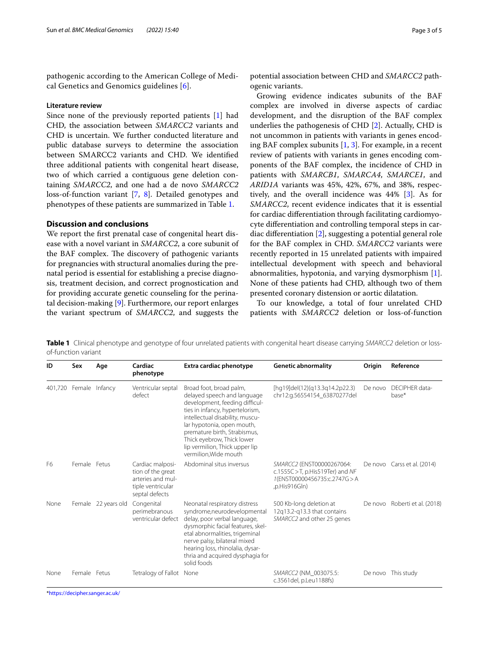pathogenic according to the American College of Medical Genetics and Genomics guidelines [[6\]](#page-3-5).

## **Literature review**

Since none of the previously reported patients [\[1](#page-3-0)] had CHD, the association between *SMARCC2* variants and CHD is uncertain. We further conducted literature and public database surveys to determine the association between SMARCC2 variants and CHD. We identifed three additional patients with congenital heart disease, two of which carried a contiguous gene deletion containing *SMARCC2*, and one had a de novo *SMARCC2* loss-of-function variant [\[7](#page-4-0), [8](#page-4-1)]. Detailed genotypes and phenotypes of these patients are summarized in Table [1](#page-2-0).

# **Discussion and conclusions**

We report the frst prenatal case of congenital heart disease with a novel variant in *SMARCC2*, a core subunit of the BAF complex. The discovery of pathogenic variants for pregnancies with structural anomalies during the prenatal period is essential for establishing a precise diagnosis, treatment decision, and correct prognostication and for providing accurate genetic counseling for the perinatal decision-making [[9\]](#page-4-2). Furthermore, our report enlarges the variant spectrum of *SMARCC2*, and suggests the

potential association between CHD and *SMARCC2* pathogenic variants.

Growing evidence indicates subunits of the BAF complex are involved in diverse aspects of cardiac development, and the disruption of the BAF complex underlies the pathogenesis of CHD [[2\]](#page-3-1). Actually, CHD is not uncommon in patients with variants in genes encoding BAF complex subunits  $[1, 3]$  $[1, 3]$  $[1, 3]$ . For example, in a recent review of patients with variants in genes encoding components of the BAF complex, the incidence of CHD in patients with *SMARCB1*, *SMARCA4*, *SMARCE1*, and *ARID1A* variants was 45%, 42%, 67%, and 38%, respectively, and the overall incidence was 44% [\[3](#page-3-2)]. As for *SMARCC2*, recent evidence indicates that it is essential for cardiac diferentiation through facilitating cardiomyocyte diferentiation and controlling temporal steps in cardiac diferentiation [[2](#page-3-1)], suggesting a potential general role for the BAF complex in CHD. *SMARCC2* variants were recently reported in 15 unrelated patients with impaired intellectual development with speech and behavioral abnormalities, hypotonia, and varying dysmorphism [\[1](#page-3-0)]. None of these patients had CHD, although two of them presented coronary distension or aortic dilatation.

To our knowledge, a total of four unrelated CHD patients with *SMARCC2* deletion or loss-of-function

**ID Sex Age Cardiac phenotype Extra cardiac phenotype Genetic abnormality Origin Reference** 401,720 Female Infancy Ventricular septal defect Broad foot, broad palm, delayed speech and language development, feeding difficulties in infancy, hypertelorism, intellectual disability, muscular hypotonia, open mouth, premature birth, Strabismus, Thick eyebrow, Thick lower lip vermilion, Thick upper lip vermilion,Wide mouth [hg19]del(12)(q13.3q14.2p22.3) chr12:g.56554154\_63870277del De novo DECIPHER database\* F6 Female Fetus Cardiac malposition of the great arteries and multiple ventricular septal defects Abdominal situs inversus *SMARCC2* (ENST00000267064: c.1555C>T, p.His519Ter) and *NF 1*(ENST00000456735:c.2747G>A ,p.His916Gln) De novo Carss et al. (2014) None Female 22 years old Congenital perimebranous ventricular defect Neonatal respiratory distress syndrome,neurodevelopmental delay, poor verbal language, dysmorphic facial features, skeletal abnormalities, trigeminal nerve palsy, bilateral mixed hearing loss, rhinolalia, dysarthria and acquired dysphagia for solid foods 500 Kb-long deletion at 12q13.2-q13.3 that contains *SMARCC2* and other 25 genes De novo Roberti et al. (2018) None Female Fetus Tetralogy of Fallot None **SMARCC2** (NM\_003075.5: c.3561del, p.Leu1188fs) De novo This study

<span id="page-2-0"></span>**Table 1** Clinical phenotype and genotype of four unrelated patients with congenital heart disease carrying *SMARCC2* deletion or lossof-function variant

\*<https://decipher.sanger.ac.uk/>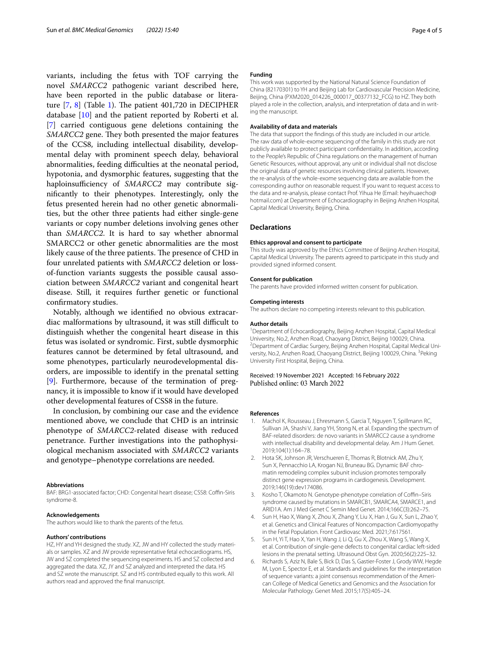variants, including the fetus with TOF carrying the novel *SMARCC2* pathogenic variant described here, have been reported in the public database or literature  $[7, 8]$  $[7, 8]$  $[7, 8]$  $[7, 8]$  (Table [1](#page-2-0)). The patient 401,720 in DECIPHER database [[10\]](#page-4-3) and the patient reported by Roberti et al. [[7\]](#page-4-0) carried contiguous gene deletions containing the *SMARCC2* gene. They both presented the major features of the CCS8, including intellectual disability, developmental delay with prominent speech delay, behavioral abnormalities, feeding difficulties at the neonatal period, hypotonia, and dysmorphic features, suggesting that the haploinsufficiency of *SMARCC2* may contribute signifcantly to their phenotypes. Interestingly, only the fetus presented herein had no other genetic abnormalities, but the other three patients had either single-gene variants or copy number deletions involving genes other than *SMARCC2*. It is hard to say whether abnormal SMARCC2 or other genetic abnormalities are the most likely cause of the three patients. The presence of CHD in four unrelated patients with *SMARCC2* deletion or lossof-function variants suggests the possible causal association between *SMARCC2* variant and congenital heart disease. Still, it requires further genetic or functional confrmatory studies.

Notably, although we identifed no obvious extracardiac malformations by ultrasound, it was still difficult to distinguish whether the congenital heart disease in this fetus was isolated or syndromic. First, subtle dysmorphic features cannot be determined by fetal ultrasound, and some phenotypes, particularly neurodevelopmental disorders, are impossible to identify in the prenatal setting [[9\]](#page-4-2). Furthermore, because of the termination of pregnancy, it is impossible to know if it would have developed other developmental features of CSS8 in the future.

In conclusion, by combining our case and the evidence mentioned above, we conclude that CHD is an intrinsic phenotype of *SMARCC2*-related disease with reduced penetrance. Further investigations into the pathophysiological mechanism associated with *SMARCC2* variants and genotype–phenotype correlations are needed.

#### **Abbreviations**

BAF: BRG1-associated factor; CHD: Congenital heart disease; CSS8: Coffin-Siris syndrome-8.

#### **Acknowledgements**

The authors would like to thank the parents of the fetus.

#### **Authors' contributions**

HZ, HY and YH designed the study. XZ, JW and HY collected the study materials or samples. XZ and JW provide representative fetal echocardiograms. HS, JW and SZ completed the sequencing experiments. HS and SZ collected and aggregated the data. XZ, JY and SZ analyzed and interpreted the data. HS and SZ wrote the manuscript. SZ and HS contributed equally to this work. All authors read and approved the fnal manuscript.

## **Funding**

This work was supported by the National Natural Science Foundation of China (82170301) to YH and Beijing Lab for Cardiovascular Precision Medicine, Beijing, China (PXM2020\_014226\_000017\_00377132\_FCG) to HZ. They both played a role in the collection, analysis, and interpretation of data and in writing the manuscript.

#### **Availability of data and materials**

The data that support the fndings of this study are included in our article. The raw data of whole-exome sequencing of the family in this study are not publicly available to protect participant confdentiality. In addition, according to the People's Republic of China regulations on the management of human Genetic Resources, without approval, any unit or individual shall not disclose the original data of genetic resources involving clinical patients. However, the re-analysis of the whole-exome sequencing data are available from the corresponding author on reasonable request. If you want to request access to the data and re-analysis, please contact Prof. Yihua He (Email: heyihuaecho@ hotmail.com) at Department of Echocardiography in Beijing Anzhen Hospital, Capital Medical University, Beijing, China.

#### **Declarations**

#### **Ethics approval and consent to participate**

This study was approved by the Ethics Committee of Beijing Anzhen Hospital, Capital Medical University. The parents agreed to participate in this study and provided signed informed consent.

## **Consent for publication**

The parents have provided informed written consent for publication.

#### **Competing interests**

The authors declare no competing interests relevant to this publication.

#### **Author details**

<sup>1</sup> Department of Echocardiography, Beijing Anzhen Hospital, Capital Medical University, No.2, Anzhen Road, Chaoyang District, Beijing 100029, China. 2 <sup>2</sup> Department of Cardiac Surgery, Beijing Anzhen Hospital, Capital Medical University, No.2, Anzhen Road, Chaoyang District, Beijing 100029, China. <sup>3</sup>Peking University First Hospital, Beijing, China.

## Received: 19 November 2021 Accepted: 16 February 2022 Published online: 03 March 2022

#### **References**

- <span id="page-3-0"></span>1. Machol K, Rousseau J, Ehresmann S, Garcia T, Nguyen T, Spillmann RC, Sullivan JA, Shashi V, Jiang YH, Stong N, et al. Expanding the spectrum of BAF-related disorders: de novo variants in SMARCC2 cause a syndrome with intellectual disability and developmental delay. Am J Hum Genet. 2019;104(1):164–78.
- <span id="page-3-1"></span>2. Hota SK, Johnson JR, Verschueren E, Thomas R, Blotnick AM, Zhu Y, Sun X, Pennacchio LA, Krogan NJ, Bruneau BG. Dynamic BAF chromatin remodeling complex subunit inclusion promotes temporally distinct gene expression programs in cardiogenesis. Development. 2019;146(19):dev174086.
- <span id="page-3-2"></span>3. Kosho T, Okamoto N. Genotype-phenotype correlation of Cofn–Siris syndrome caused by mutations in SMARCB1, SMARCA4, SMARCE1, and ARID1A. Am J Med Genet C Semin Med Genet. 2014;166C(3):262–75.
- <span id="page-3-3"></span>4. Sun H, Hao X, Wang X, Zhou X, Zhang Y, Liu X, Han J, Gu X, Sun L, Zhao Y, et al. Genetics and Clinical Features of Noncompaction Cardiomyopathy in the Fetal Population. Front Cardiovasc Med. 2021;7:617561.
- <span id="page-3-4"></span>5. Sun H, Yi T, Hao X, Yan H, Wang J, Li Q, Gu X, Zhou X, Wang S, Wang X, et al. Contribution of single-gene defects to congenital cardiac left-sided lesions in the prenatal setting. Ultrasound Obst Gyn. 2020;56(2):225–32.
- <span id="page-3-5"></span>6. Richards S, Aziz N, Bale S, Bick D, Das S, Gastier-Foster J, Grody WW, Hegde M, Lyon E, Spector E, et al. Standards and guidelines for the interpretation of sequence variants: a joint consensus recommendation of the American College of Medical Genetics and Genomics and the Association for Molecular Pathology. Genet Med. 2015;17(5):405–24.